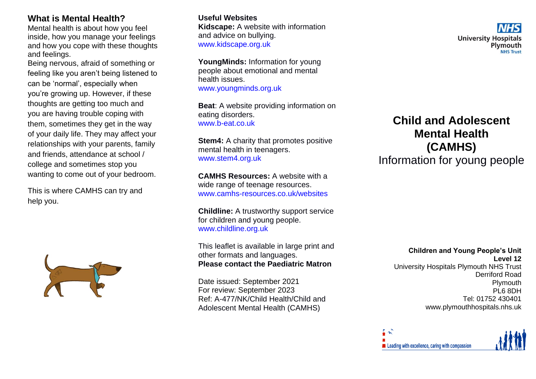#### **What is Mental Health?**

Mental health is about how you feel inside, how you manage your feelings and how you cope with these thoughts and feelings.

Being nervous, afraid of something or feeling like you aren't being listened to can be 'normal', especially when you're growing up. However, if these thoughts are getting too much and you are having trouble coping with them, sometimes they get in the way of your daily life. They may affect your relationships with your parents, family and friends, attendance at school / college and sometimes stop you wanting to come out of your bedroom.

This is where CAMHS can try and help you.



#### **Useful Websites**

**Kidscape:** A website with information and advice on bullying. [www.kidscape.org.uk](http://www.kidscape.org.uk/)

**YoungMinds:** Information for young people about emotional and mental health issues. [www.youngminds.org.uk](http://www.youngminds.org.uk/)

**Beat**: A website providing information on eating disorders. [www.b-eat.co.uk](http://www.b-eat.co.uk/)

**Stem4:** A charity that promotes positive mental health in teenagers. [www.stem4.org.uk](http://www.stem4.org.uk/)

**CAMHS Resources:** A website with a wide range of teenage resources. [www.camhs-resources.co.uk/websites](http://www.camhs-resources.co.uk/websites)

**Childline:** A trustworthy support service for children and young people. [www.childline.org.uk](http://www.childline.org.uk/)

This leaflet is available in large print and other formats and languages. **Please contact the Paediatric Matron**

Date issued: September 2021 For review: September 2023 Ref: A-477/NK/Child Health/Child and Adolescent Mental Health (CAMHS)

# **Child and Adolescent Mental Health (CAMHS)**

**University Hospitals** 

Plymouth

Information for young people

**Children and Young People's Unit Level 12** University Hospitals Plymouth NHS Trust Derriford Road Plymouth PL6 8DH Tel: 01752 430401 www.plymouthhospitals.nhs.uk